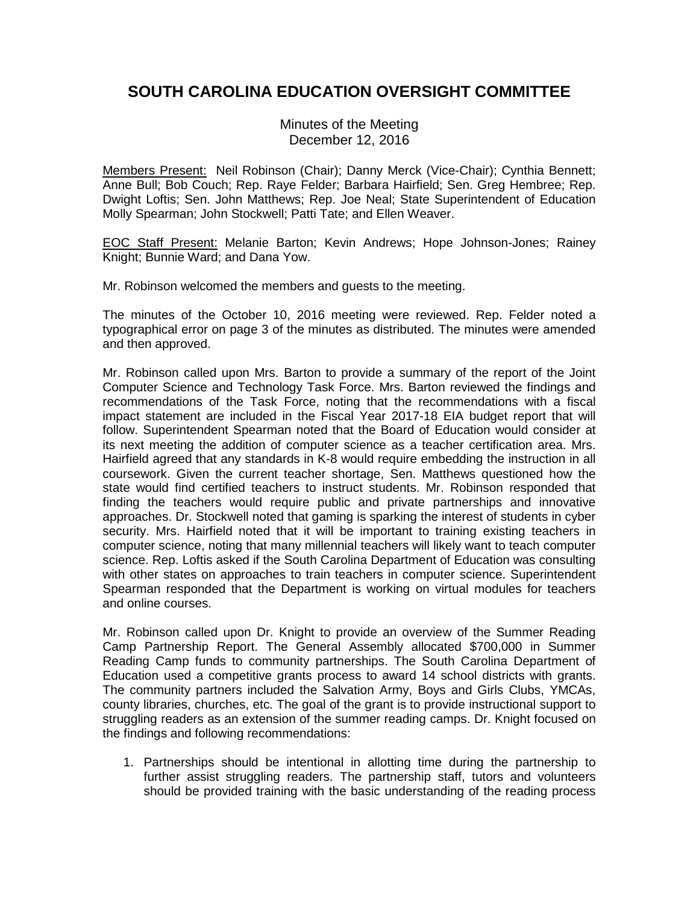## **SOUTH CAROLINA EDUCATION OVERSIGHT COMMITTEE**

Minutes of the Meeting December 12, 2016

Members Present: Neil Robinson (Chair); Danny Merck (Vice-Chair); Cynthia Bennett; Anne Bull; Bob Couch; Rep. Raye Felder; Barbara Hairfield; Sen. Greg Hembree; Rep. Dwight Loftis; Sen. John Matthews; Rep. Joe Neal; State Superintendent of Education Molly Spearman; John Stockwell; Patti Tate; and Ellen Weaver.

EOC Staff Present: Melanie Barton; Kevin Andrews; Hope Johnson-Jones; Rainey Knight; Bunnie Ward; and Dana Yow.

Mr. Robinson welcomed the members and guests to the meeting.

The minutes of the October 10, 2016 meeting were reviewed. Rep. Felder noted a typographical error on page 3 of the minutes as distributed. The minutes were amended and then approved.

Mr. Robinson called upon Mrs. Barton to provide a summary of the report of the Joint Computer Science and Technology Task Force. Mrs. Barton reviewed the findings and recommendations of the Task Force, noting that the recommendations with a fiscal impact statement are included in the Fiscal Year 2017-18 EIA budget report that will follow. Superintendent Spearman noted that the Board of Education would consider at its next meeting the addition of computer science as a teacher certification area. Mrs. Hairfield agreed that any standards in K-8 would require embedding the instruction in all coursework. Given the current teacher shortage, Sen. Matthews questioned how the state would find certified teachers to instruct students. Mr. Robinson responded that finding the teachers would require public and private partnerships and innovative approaches. Dr. Stockwell noted that gaming is sparking the interest of students in cyber security. Mrs. Hairfield noted that it will be important to training existing teachers in computer science, noting that many millennial teachers will likely want to teach computer science. Rep. Loftis asked if the South Carolina Department of Education was consulting with other states on approaches to train teachers in computer science. Superintendent Spearman responded that the Department is working on virtual modules for teachers and online courses.

Mr. Robinson called upon Dr. Knight to provide an overview of the Summer Reading Camp Partnership Report. The General Assembly allocated \$700,000 in Summer Reading Camp funds to community partnerships. The South Carolina Department of Education used a competitive grants process to award 14 school districts with grants. The community partners included the Salvation Army, Boys and Girls Clubs, YMCAs, county libraries, churches, etc. The goal of the grant is to provide instructional support to struggling readers as an extension of the summer reading camps. Dr. Knight focused on the findings and following recommendations:

1. Partnerships should be intentional in allotting time during the partnership to further assist struggling readers. The partnership staff, tutors and volunteers should be provided training with the basic understanding of the reading process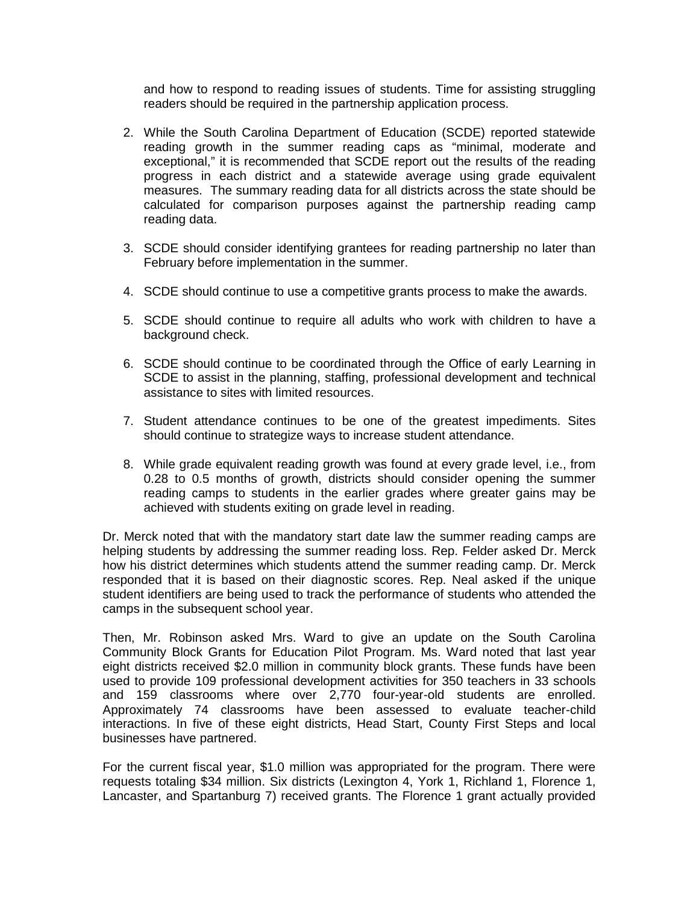and how to respond to reading issues of students. Time for assisting struggling readers should be required in the partnership application process.

- 2. While the South Carolina Department of Education (SCDE) reported statewide reading growth in the summer reading caps as "minimal, moderate and exceptional," it is recommended that SCDE report out the results of the reading progress in each district and a statewide average using grade equivalent measures. The summary reading data for all districts across the state should be calculated for comparison purposes against the partnership reading camp reading data.
- 3. SCDE should consider identifying grantees for reading partnership no later than February before implementation in the summer.
- 4. SCDE should continue to use a competitive grants process to make the awards.
- 5. SCDE should continue to require all adults who work with children to have a background check.
- 6. SCDE should continue to be coordinated through the Office of early Learning in SCDE to assist in the planning, staffing, professional development and technical assistance to sites with limited resources.
- 7. Student attendance continues to be one of the greatest impediments. Sites should continue to strategize ways to increase student attendance.
- 8. While grade equivalent reading growth was found at every grade level, i.e., from 0.28 to 0.5 months of growth, districts should consider opening the summer reading camps to students in the earlier grades where greater gains may be achieved with students exiting on grade level in reading.

Dr. Merck noted that with the mandatory start date law the summer reading camps are helping students by addressing the summer reading loss. Rep. Felder asked Dr. Merck how his district determines which students attend the summer reading camp. Dr. Merck responded that it is based on their diagnostic scores. Rep. Neal asked if the unique student identifiers are being used to track the performance of students who attended the camps in the subsequent school year.

Then, Mr. Robinson asked Mrs. Ward to give an update on the South Carolina Community Block Grants for Education Pilot Program. Ms. Ward noted that last year eight districts received \$2.0 million in community block grants. These funds have been used to provide 109 professional development activities for 350 teachers in 33 schools and 159 classrooms where over 2,770 four-year-old students are enrolled. Approximately 74 classrooms have been assessed to evaluate teacher-child interactions. In five of these eight districts, Head Start, County First Steps and local businesses have partnered.

For the current fiscal year, \$1.0 million was appropriated for the program. There were requests totaling \$34 million. Six districts (Lexington 4, York 1, Richland 1, Florence 1, Lancaster, and Spartanburg 7) received grants. The Florence 1 grant actually provided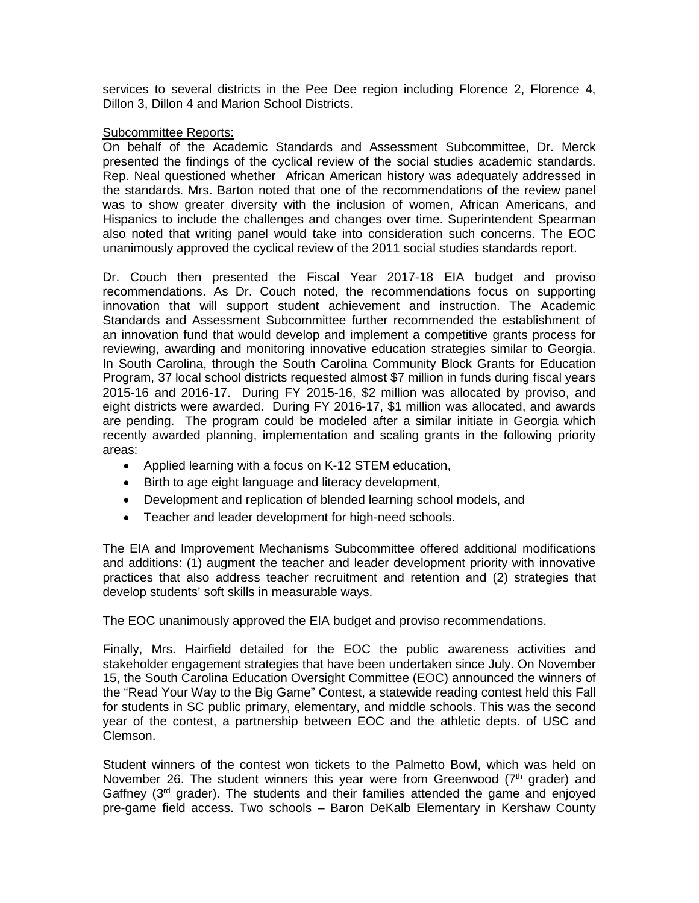services to several districts in the Pee Dee region including Florence 2, Florence 4, Dillon 3, Dillon 4 and Marion School Districts.

## Subcommittee Reports:

On behalf of the Academic Standards and Assessment Subcommittee, Dr. Merck presented the findings of the cyclical review of the social studies academic standards. Rep. Neal questioned whether African American history was adequately addressed in the standards. Mrs. Barton noted that one of the recommendations of the review panel was to show greater diversity with the inclusion of women, African Americans, and Hispanics to include the challenges and changes over time. Superintendent Spearman also noted that writing panel would take into consideration such concerns. The EOC unanimously approved the cyclical review of the 2011 social studies standards report.

Dr. Couch then presented the Fiscal Year 2017-18 EIA budget and proviso recommendations. As Dr. Couch noted, the recommendations focus on supporting innovation that will support student achievement and instruction. The Academic Standards and Assessment Subcommittee further recommended the establishment of an innovation fund that would develop and implement a competitive grants process for reviewing, awarding and monitoring innovative education strategies similar to Georgia. In South Carolina, through the South Carolina Community Block Grants for Education Program, 37 local school districts requested almost \$7 million in funds during fiscal years 2015-16 and 2016-17. During FY 2015-16, \$2 million was allocated by proviso, and eight districts were awarded. During FY 2016-17, \$1 million was allocated, and awards are pending. The program could be modeled after a similar initiate in Georgia which recently awarded planning, implementation and scaling grants in the following priority areas:

- Applied learning with a focus on K-12 STEM education,
- Birth to age eight language and literacy development,
- Development and replication of blended learning school models, and
- Teacher and leader development for high-need schools.

The EIA and Improvement Mechanisms Subcommittee offered additional modifications and additions: (1) augment the teacher and leader development priority with innovative practices that also address teacher recruitment and retention and (2) strategies that develop students' soft skills in measurable ways.

The EOC unanimously approved the EIA budget and proviso recommendations.

Finally, Mrs. Hairfield detailed for the EOC the public awareness activities and stakeholder engagement strategies that have been undertaken since July. On November 15, the South Carolina Education Oversight Committee (EOC) announced the winners of the "Read Your Way to the Big Game" Contest, a statewide reading contest held this Fall for students in SC public primary, elementary, and middle schools. This was the second year of the contest, a partnership between EOC and the athletic depts. of USC and Clemson.

Student winners of the contest won tickets to the Palmetto Bowl, which was held on November 26. The student winners this year were from Greenwood  $(7<sup>th</sup>$  grader) and Gaffney ( $3<sup>rd</sup>$  grader). The students and their families attended the game and enjoyed pre-game field access. Two schools – Baron DeKalb Elementary in Kershaw County